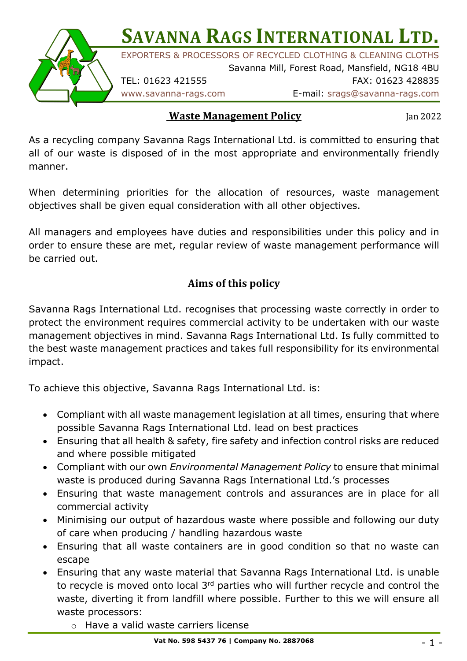**SAVANNA RAGS INTERNATIONAL LTD.** 



EXPORTERS & PROCESSORS OF RECYCLED CLOTHING & CLEANING CLOTHS

Savanna Mill, Forest Road, Mansfield, NG18 4BU TEL: 01623 421555 FAX: 01623 428835

## www.savanna-rags.com E-mail: srags@savanna-rags.com

## **Waste Management Policy**

Jan 2022

As a recycling company Savanna Rags International Ltd. is committed to ensuring that all of our waste is disposed of in the most appropriate and environmentally friendly manner.

When determining priorities for the allocation of resources, waste management objectives shall be given equal consideration with all other objectives.

All managers and employees have duties and responsibilities under this policy and in order to ensure these are met, regular review of waste management performance will be carried out.

## **Aims of this policy**

Savanna Rags International Ltd. recognises that processing waste correctly in order to protect the environment requires commercial activity to be undertaken with our waste management objectives in mind. Savanna Rags International Ltd. Is fully committed to the best waste management practices and takes full responsibility for its environmental impact.

To achieve this objective, Savanna Rags International Ltd. is:

- Compliant with all waste management legislation at all times, ensuring that where possible Savanna Rags International Ltd. lead on best practices
- Ensuring that all health & safety, fire safety and infection control risks are reduced and where possible mitigated
- Compliant with our own *Environmental Management Policy* to ensure that minimal waste is produced during Savanna Rags International Ltd.'s processes
- Ensuring that waste management controls and assurances are in place for all commercial activity
- Minimising our output of hazardous waste where possible and following our duty of care when producing / handling hazardous waste
- Ensuring that all waste containers are in good condition so that no waste can escape
- Ensuring that any waste material that Savanna Rags International Ltd. is unable to recycle is moved onto local 3rd parties who will further recycle and control the waste, diverting it from landfill where possible. Further to this we will ensure all waste processors:
	- o Have a valid waste carriers license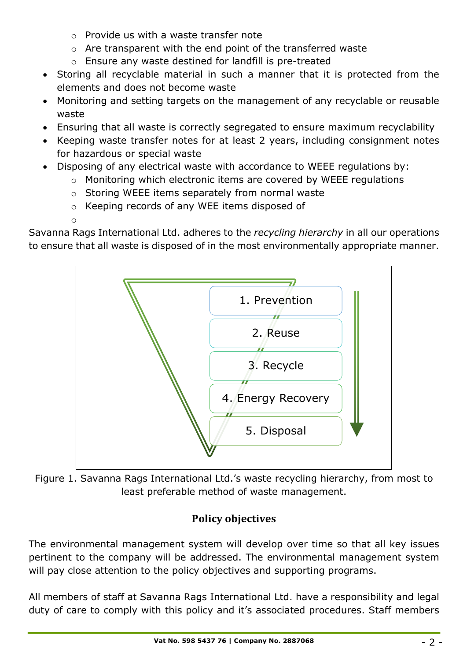- o Provide us with a waste transfer note
- o Are transparent with the end point of the transferred waste
- o Ensure any waste destined for landfill is pre-treated
- Storing all recyclable material in such a manner that it is protected from the elements and does not become waste
- Monitoring and setting targets on the management of any recyclable or reusable waste
- Ensuring that all waste is correctly segregated to ensure maximum recyclability
- Keeping waste transfer notes for at least 2 years, including consignment notes for hazardous or special waste
- Disposing of any electrical waste with accordance to WEEE regulations by:
	- o Monitoring which electronic items are covered by WEEE regulations
	- o Storing WEEE items separately from normal waste
	- o Keeping records of any WEE items disposed of
	- o

Savanna Rags International Ltd. adheres to the *recycling hierarchy* in all our operations to ensure that all waste is disposed of in the most environmentally appropriate manner.



Figure 1. Savanna Rags International Ltd.'s waste recycling hierarchy, from most to least preferable method of waste management.

## **Policy objectives**

The environmental management system will develop over time so that all key issues pertinent to the company will be addressed. The environmental management system will pay close attention to the policy objectives and supporting programs.

All members of staff at Savanna Rags International Ltd. have a responsibility and legal duty of care to comply with this policy and it's associated procedures. Staff members